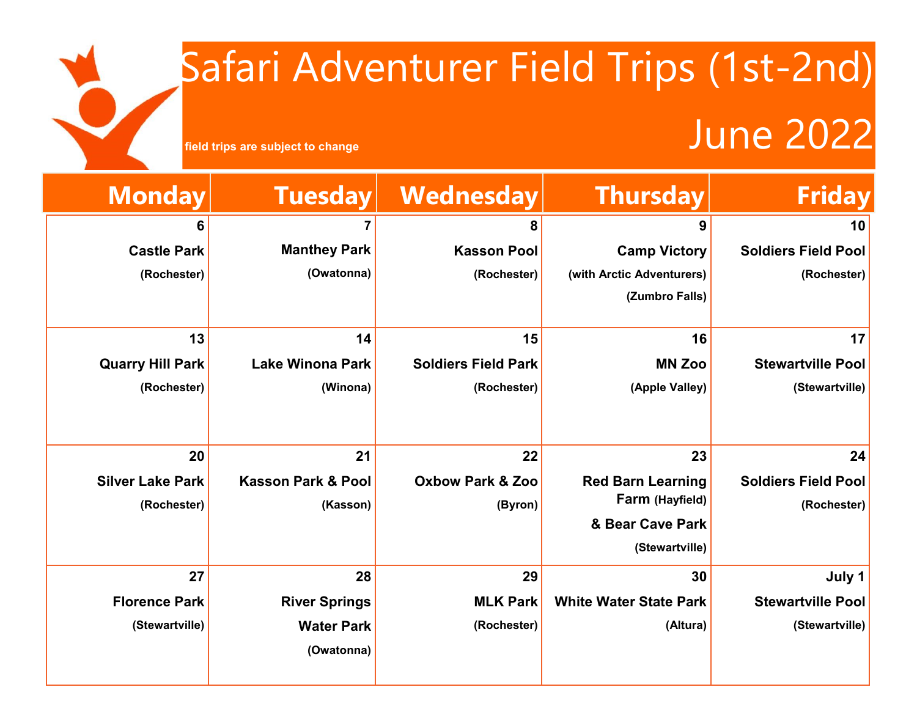## Safari Adventurer Field Trips (1st-2nd) Field trips are subject to change<br> **Field trips are subject to change**



| <b>Friday</b>              | <b>Thursday</b>               | Wednesday                   | <b>Tuesday</b>                | <b>Monday</b>           |
|----------------------------|-------------------------------|-----------------------------|-------------------------------|-------------------------|
| 10                         | 9                             | 8                           |                               | 6                       |
| <b>Soldiers Field Pool</b> | <b>Camp Victory</b>           | <b>Kasson Pool</b>          | <b>Manthey Park</b>           | <b>Castle Park</b>      |
| (Rochester)                | (with Arctic Adventurers)     | (Rochester)                 | (Owatonna)                    | (Rochester)             |
|                            | (Zumbro Falls)                |                             |                               |                         |
| 17                         | 16                            | 15                          | 14                            | 13                      |
|                            |                               |                             |                               |                         |
| <b>Stewartville Pool</b>   | <b>MN Zoo</b>                 | <b>Soldiers Field Park</b>  | <b>Lake Winona Park</b>       | <b>Quarry Hill Park</b> |
| (Stewartville)             | (Apple Valley)                | (Rochester)                 | (Winona)                      | (Rochester)             |
|                            |                               |                             |                               |                         |
| 24                         | 23                            | 22                          | 21                            | 20                      |
| <b>Soldiers Field Pool</b> | <b>Red Barn Learning</b>      | <b>Oxbow Park &amp; Zoo</b> | <b>Kasson Park &amp; Pool</b> | <b>Silver Lake Park</b> |
| (Rochester)                | Farm (Hayfield)               | (Byron)                     | (Kasson)                      | (Rochester)             |
|                            | & Bear Cave Park              |                             |                               |                         |
|                            | (Stewartville)                |                             |                               |                         |
| July 1                     | 30                            | 29                          | 28                            | 27                      |
| <b>Stewartville Pool</b>   | <b>White Water State Park</b> | <b>MLK Park</b>             | <b>River Springs</b>          | <b>Florence Park</b>    |
| (Stewartville)             | (Altura)                      | (Rochester)                 | <b>Water Park</b>             | (Stewartville)          |
|                            |                               |                             | (Owatonna)                    |                         |
|                            |                               |                             |                               |                         |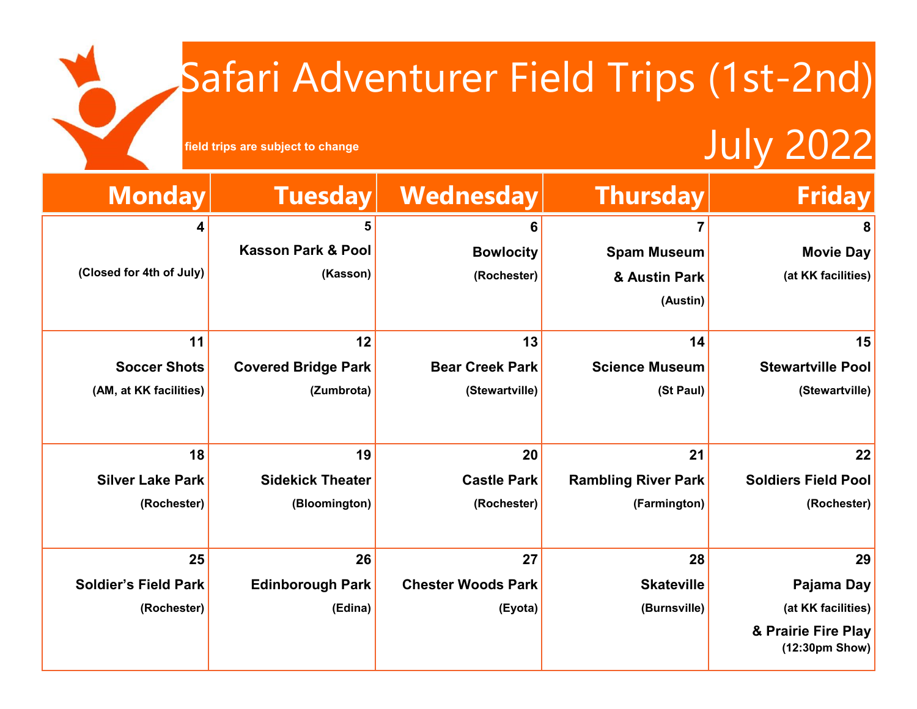## Safari Adventurer Field Trips (1st-2nd) July 2022



**field trips are subject to change**

| <b>Monday</b>               | <b>Tuesday</b>                | Wednesday                 | <b>Thursday</b>            | <b>Friday</b>                           |
|-----------------------------|-------------------------------|---------------------------|----------------------------|-----------------------------------------|
| 4                           |                               | 6                         |                            | 8                                       |
|                             | <b>Kasson Park &amp; Pool</b> | <b>Bowlocity</b>          | <b>Spam Museum</b>         | <b>Movie Day</b>                        |
| (Closed for 4th of July)    | (Kasson)                      | (Rochester)               | & Austin Park              | (at KK facilities)                      |
|                             |                               |                           | (Austin)                   |                                         |
|                             |                               |                           |                            |                                         |
| 11                          | 12                            | 13                        | 14                         | 15                                      |
| <b>Soccer Shots</b>         | <b>Covered Bridge Park</b>    | <b>Bear Creek Park</b>    | <b>Science Museum</b>      | <b>Stewartville Pool</b>                |
| (AM, at KK facilities)      | (Zumbrota)                    | (Stewartville)            | (St Paul)                  | (Stewartville)                          |
|                             |                               |                           |                            |                                         |
| 18                          | 19                            | 20                        | 21                         | 22                                      |
| <b>Silver Lake Park</b>     | <b>Sidekick Theater</b>       | <b>Castle Park</b>        | <b>Rambling River Park</b> | <b>Soldiers Field Pool</b>              |
| (Rochester)                 | (Bloomington)                 | (Rochester)               | (Farmington)               | (Rochester)                             |
|                             |                               |                           |                            |                                         |
| 25                          | 26                            | 27                        | 28                         | 29                                      |
| <b>Soldier's Field Park</b> | <b>Edinborough Park</b>       | <b>Chester Woods Park</b> | <b>Skateville</b>          | Pajama Day                              |
| (Rochester)                 | (Edina)                       | (Eyota)                   | (Burnsville)               | (at KK facilities)                      |
|                             |                               |                           |                            | & Prairie Fire Play<br>$(12:30pm$ Show) |